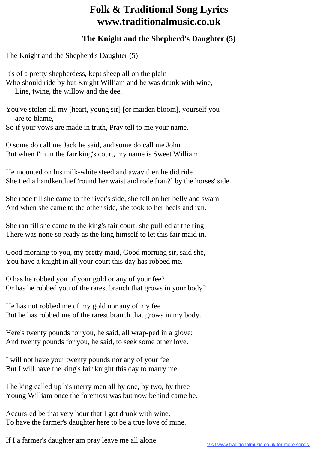## **Folk & Traditional Song Lyrics www.traditionalmusic.co.uk**

## **The Knight and the Shepherd's Daughter (5)**

The Knight and the Shepherd's Daughter (5)

It's of a pretty shepherdess, kept sheep all on the plain Who should ride by but Knight William and he was drunk with wine, Line, twine, the willow and the dee.

You've stolen all my [heart, young sir] [or maiden bloom], yourself you are to blame,

So if your vows are made in truth, Pray tell to me your name.

O some do call me Jack he said, and some do call me John But when I'm in the fair king's court, my name is Sweet William

He mounted on his milk-white steed and away then he did ride She tied a handkerchief 'round her waist and rode [ran?] by the horses' side.

She rode till she came to the river's side, she fell on her belly and swam And when she came to the other side, she took to her heels and ran.

She ran till she came to the king's fair court, she pull-ed at the ring There was none so ready as the king himself to let this fair maid in.

Good morning to you, my pretty maid, Good morning sir, said she, You have a knight in all your court this day has robbed me.

O has he robbed you of your gold or any of your fee? Or has he robbed you of the rarest branch that grows in your body?

He has not robbed me of my gold nor any of my fee But he has robbed me of the rarest branch that grows in my body.

Here's twenty pounds for you, he said, all wrap-ped in a glove; And twenty pounds for you, he said, to seek some other love.

I will not have your twenty pounds nor any of your fee But I will have the king's fair knight this day to marry me.

The king called up his merry men all by one, by two, by three Young William once the foremost was but now behind came he.

Accurs-ed be that very hour that I got drunk with wine, To have the farmer's daughter here to be a true love of mine.

If I a farmer's daughter am pray leave me all alone